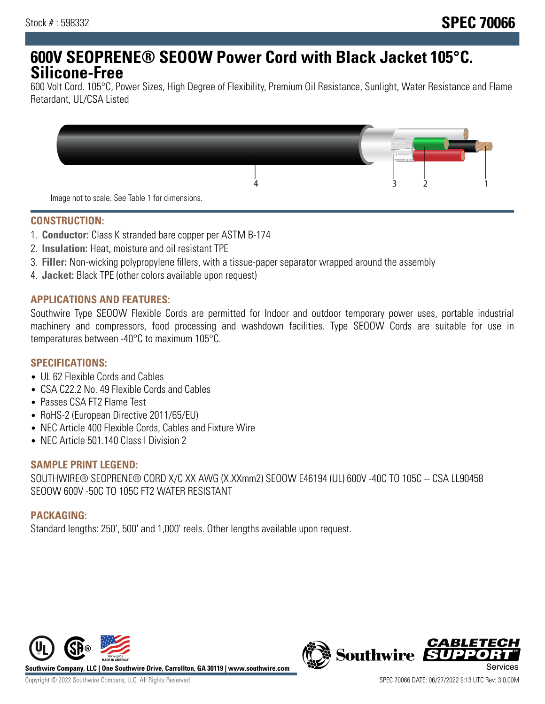## **600V SEOPRENE® SEOOW Power Cord with Black Jacket 105°C. Silicone-Free**

600 Volt Cord. 105°C, Power Sizes, High Degree of Flexibility, Premium Oil Resistance, Sunlight, Water Resistance and Flame Retardant, UL/CSA Listed



#### **CONSTRUCTION:**

- 1. **Conductor:** Class K stranded bare copper per ASTM B-174
- 2. **Insulation:** Heat, moisture and oil resistant TPE
- 3. **Filler:** Non-wicking polypropylene fillers, with a tissue-paper separator wrapped around the assembly
- 4. **Jacket:** Black TPE (other colors available upon request)

#### **APPLICATIONS AND FEATURES:**

Southwire Type SEOOW Flexible Cords are permitted for Indoor and outdoor temporary power uses, portable industrial machinery and compressors, food processing and washdown facilities. Type SEOOW Cords are suitable for use in temperatures between -40°C to maximum 105°C.

## **SPECIFICATIONS:**

- UL 62 Flexible Cords and Cables
- CSA C22.2 No. 49 Flexible Cords and Cables
- Passes CSA FT2 Flame Test
- RoHS-2 (European Directive 2011/65/EU)
- NEC Article 400 Flexible Cords, Cables and Fixture Wire
- NEC Article 501.140 Class I Division 2

#### **SAMPLE PRINT LEGEND:**

SOUTHWIRE® SEOPRENE® CORD X/C XX AWG (X.XXmm2) SEOOW E46194 (UL) 600V -40C TO 105C -- CSA LL90458 SEOOW 600V -50C TO 105C FT2 WATER RESISTANT

#### **PACKAGING:**

Standard lengths: 250', 500' and 1,000' reels. Other lengths available upon request.



**Southwire Company, LLC | One Southwire Drive, Carrollton, GA 30119 | www.southwire.com**